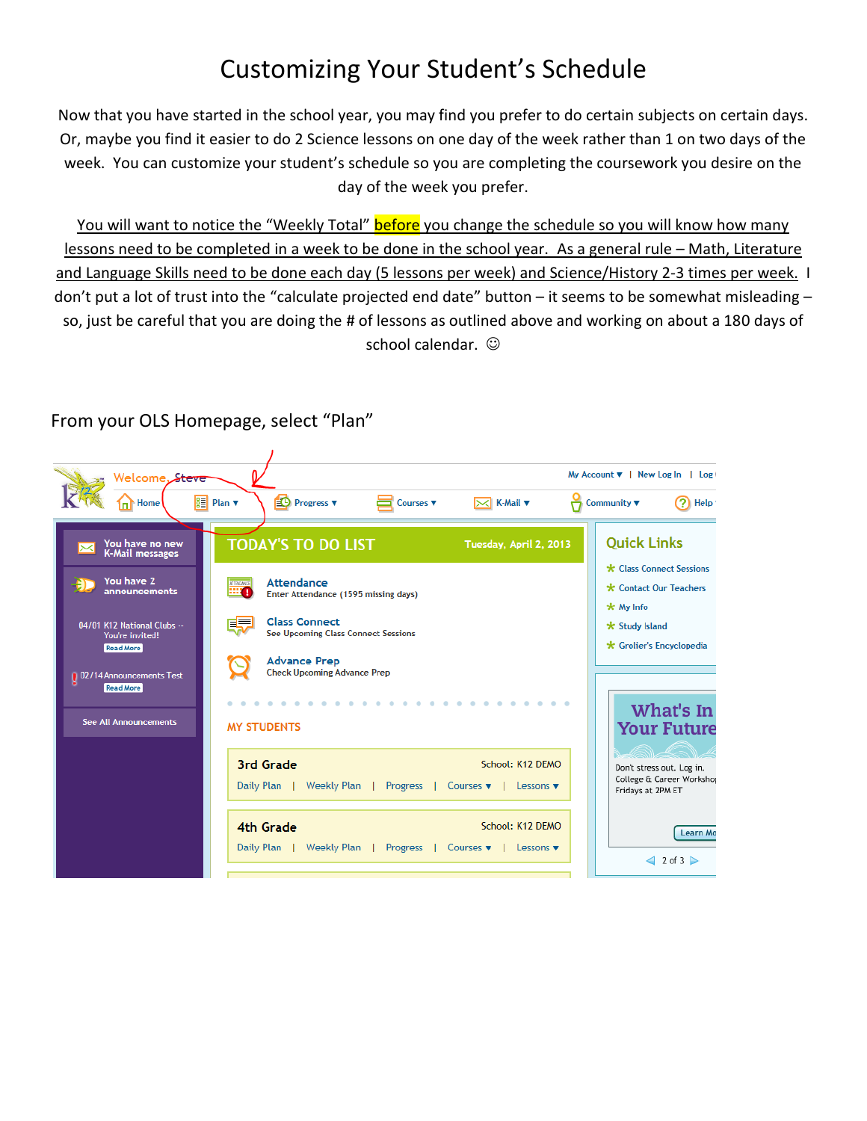## Customizing Your Student's Schedule

Now that you have started in the school year, you may find you prefer to do certain subjects on certain days. Or, maybe you find it easier to do 2 Science lessons on one day of the week rather than 1 on two days of the week. You can customize your student's schedule so you are completing the coursework you desire on the day of the week you prefer.

You will want to notice the "Weekly Total" before you change the schedule so you will know how many lessons need to be completed in a week to be done in the school year. As a general rule – Math, Literature and Language Skills need to be done each day (5 lessons per week) and Science/History 2-3 times per week. I don't put a lot of trust into the "calculate projected end date" button – it seems to be somewhat misleading – so, just be careful that you are doing the # of lessons as outlined above and working on about a 180 days of school calendar.  $\odot$ 



## From your OLS Homepage, select "Plan"